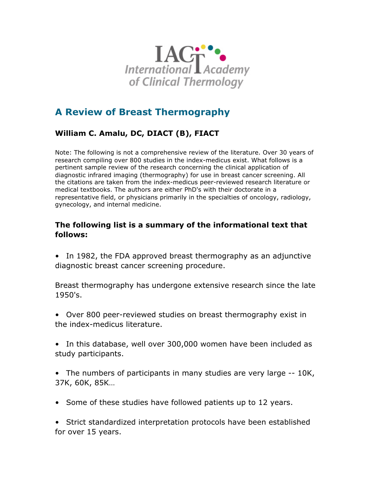

# **A Review of Breast Thermography**

# **William C. Amalu, DC, DIACT (B), FIACT**

Note: The following is not a comprehensive review of the literature. Over 30 years of research compiling over 800 studies in the index-medicus exist. What follows is a pertinent sample review of the research concerning the clinical application of diagnostic infrared imaging (thermography) for use in breast cancer screening. All the citations are taken from the index-medicus peer-reviewed research literature or medical textbooks. The authors are either PhD's with their doctorate in a representative field, or physicians primarily in the specialties of oncology, radiology, gynecology, and internal medicine.

### **The following list is a summary of the informational text that follows:**

• In 1982, the FDA approved breast thermography as an adjunctive diagnostic breast cancer screening procedure.

Breast thermography has undergone extensive research since the late 1950's.

- Over 800 peer-reviewed studies on breast thermography exist in the index-medicus literature.
- In this database, well over 300,000 women have been included as study participants.
- The numbers of participants in many studies are very large -- 10K, 37K, 60K, 85K…
- Some of these studies have followed patients up to 12 years.

• Strict standardized interpretation protocols have been established for over 15 years.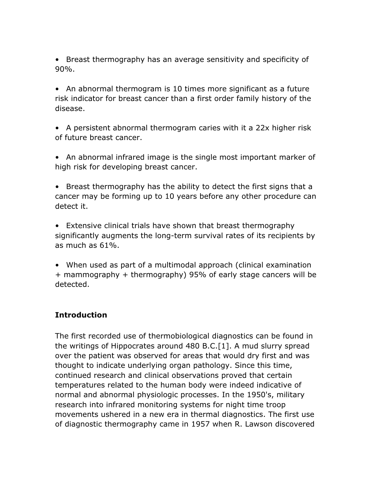• Breast thermography has an average sensitivity and specificity of 90%.

• An abnormal thermogram is 10 times more significant as a future risk indicator for breast cancer than a first order family history of the disease.

• A persistent abnormal thermogram caries with it a 22x higher risk of future breast cancer.

• An abnormal infrared image is the single most important marker of high risk for developing breast cancer.

• Breast thermography has the ability to detect the first signs that a cancer may be forming up to 10 years before any other procedure can detect it.

• Extensive clinical trials have shown that breast thermography significantly augments the long-term survival rates of its recipients by as much as 61%.

• When used as part of a multimodal approach (clinical examination + mammography + thermography) 95% of early stage cancers will be detected.

### **Introduction**

The first recorded use of thermobiological diagnostics can be found in the writings of Hippocrates around 480 B.C.[1]. A mud slurry spread over the patient was observed for areas that would dry first and was thought to indicate underlying organ pathology. Since this time, continued research and clinical observations proved that certain temperatures related to the human body were indeed indicative of normal and abnormal physiologic processes. In the 1950's, military research into infrared monitoring systems for night time troop movements ushered in a new era in thermal diagnostics. The first use of diagnostic thermography came in 1957 when R. Lawson discovered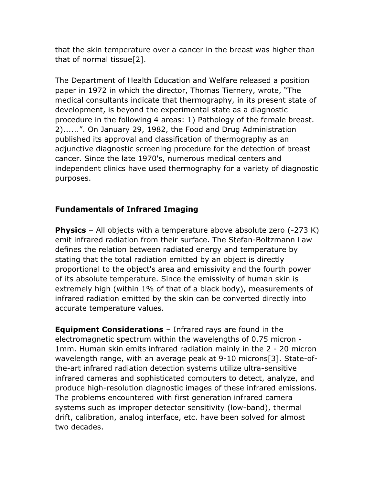that the skin temperature over a cancer in the breast was higher than that of normal tissue[2].

The Department of Health Education and Welfare released a position paper in 1972 in which the director, Thomas Tiernery, wrote, "The medical consultants indicate that thermography, in its present state of development, is beyond the experimental state as a diagnostic procedure in the following 4 areas: 1) Pathology of the female breast. 2)......". On January 29, 1982, the Food and Drug Administration published its approval and classification of thermography as an adjunctive diagnostic screening procedure for the detection of breast cancer. Since the late 1970's, numerous medical centers and independent clinics have used thermography for a variety of diagnostic purposes.

### **Fundamentals of Infrared Imaging**

**Physics** – All objects with a temperature above absolute zero (-273 K) emit infrared radiation from their surface. The Stefan-Boltzmann Law defines the relation between radiated energy and temperature by stating that the total radiation emitted by an object is directly proportional to the object's area and emissivity and the fourth power of its absolute temperature. Since the emissivity of human skin is extremely high (within 1% of that of a black body), measurements of infrared radiation emitted by the skin can be converted directly into accurate temperature values.

**Equipment Considerations** – Infrared rays are found in the electromagnetic spectrum within the wavelengths of 0.75 micron - 1mm. Human skin emits infrared radiation mainly in the 2 - 20 micron wavelength range, with an average peak at 9-10 microns[3]. State-ofthe-art infrared radiation detection systems utilize ultra-sensitive infrared cameras and sophisticated computers to detect, analyze, and produce high-resolution diagnostic images of these infrared emissions. The problems encountered with first generation infrared camera systems such as improper detector sensitivity (low-band), thermal drift, calibration, analog interface, etc. have been solved for almost two decades.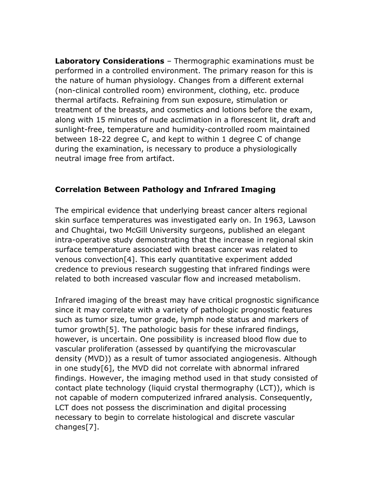**Laboratory Considerations** – Thermographic examinations must be performed in a controlled environment. The primary reason for this is the nature of human physiology. Changes from a different external (non-clinical controlled room) environment, clothing, etc. produce thermal artifacts. Refraining from sun exposure, stimulation or treatment of the breasts, and cosmetics and lotions before the exam, along with 15 minutes of nude acclimation in a florescent lit, draft and sunlight-free, temperature and humidity-controlled room maintained between 18-22 degree C, and kept to within 1 degree C of change during the examination, is necessary to produce a physiologically neutral image free from artifact.

### **Correlation Between Pathology and Infrared Imaging**

The empirical evidence that underlying breast cancer alters regional skin surface temperatures was investigated early on. In 1963, Lawson and Chughtai, two McGill University surgeons, published an elegant intra-operative study demonstrating that the increase in regional skin surface temperature associated with breast cancer was related to venous convection[4]. This early quantitative experiment added credence to previous research suggesting that infrared findings were related to both increased vascular flow and increased metabolism.

Infrared imaging of the breast may have critical prognostic significance since it may correlate with a variety of pathologic prognostic features such as tumor size, tumor grade, lymph node status and markers of tumor growth[5]. The pathologic basis for these infrared findings, however, is uncertain. One possibility is increased blood flow due to vascular proliferation (assessed by quantifying the microvascular density (MVD)) as a result of tumor associated angiogenesis. Although in one study[6], the MVD did not correlate with abnormal infrared findings. However, the imaging method used in that study consisted of contact plate technology (liquid crystal thermography (LCT)), which is not capable of modern computerized infrared analysis. Consequently, LCT does not possess the discrimination and digital processing necessary to begin to correlate histological and discrete vascular changes[7].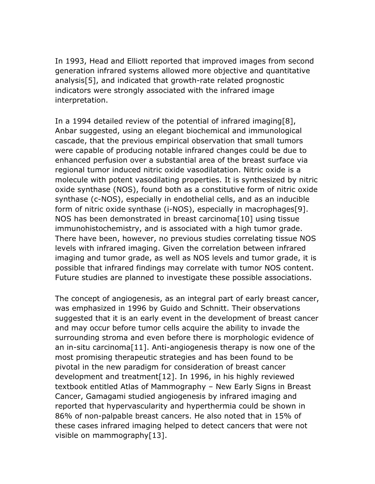In 1993, Head and Elliott reported that improved images from second generation infrared systems allowed more objective and quantitative analysis[5], and indicated that growth-rate related prognostic indicators were strongly associated with the infrared image interpretation.

In a 1994 detailed review of the potential of infrared imaging[8], Anbar suggested, using an elegant biochemical and immunological cascade, that the previous empirical observation that small tumors were capable of producing notable infrared changes could be due to enhanced perfusion over a substantial area of the breast surface via regional tumor induced nitric oxide vasodilatation. Nitric oxide is a molecule with potent vasodilating properties. It is synthesized by nitric oxide synthase (NOS), found both as a constitutive form of nitric oxide synthase (c-NOS), especially in endothelial cells, and as an inducible form of nitric oxide synthase (i-NOS), especially in macrophages[9]. NOS has been demonstrated in breast carcinoma[10] using tissue immunohistochemistry, and is associated with a high tumor grade. There have been, however, no previous studies correlating tissue NOS levels with infrared imaging. Given the correlation between infrared imaging and tumor grade, as well as NOS levels and tumor grade, it is possible that infrared findings may correlate with tumor NOS content. Future studies are planned to investigate these possible associations.

The concept of angiogenesis, as an integral part of early breast cancer, was emphasized in 1996 by Guido and Schnitt. Their observations suggested that it is an early event in the development of breast cancer and may occur before tumor cells acquire the ability to invade the surrounding stroma and even before there is morphologic evidence of an in-situ carcinoma[11]. Anti-angiogenesis therapy is now one of the most promising therapeutic strategies and has been found to be pivotal in the new paradigm for consideration of breast cancer development and treatment[12]. In 1996, in his highly reviewed textbook entitled Atlas of Mammography – New Early Signs in Breast Cancer, Gamagami studied angiogenesis by infrared imaging and reported that hypervascularity and hyperthermia could be shown in 86% of non-palpable breast cancers. He also noted that in 15% of these cases infrared imaging helped to detect cancers that were not visible on mammography[13].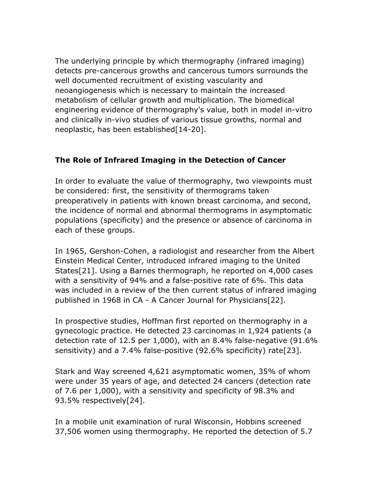The underlying principle by which thermography (infrared imaging) detects pre-cancerous growths and cancerous tumors surrounds the well documented recruitment of existing vascularity and neoangiogenesis which is necessary to maintain the increased metabolism of cellular growth and multiplication. The biomedical engineering evidence of thermography's value, both in model in-vitro and clinically in-vivo studies of various tissue growths, normal and neoplastic, has been established[14-20].

## **The Role of Infrared Imaging in the Detection of Cancer**

In order to evaluate the value of thermography, two viewpoints must be considered: first, the sensitivity of thermograms taken preoperatively in patients with known breast carcinoma, and second, the incidence of normal and abnormal thermograms in asymptomatic populations (specificity) and the presence or absence of carcinoma in each of these groups.

In 1965, Gershon-Cohen, a radiologist and researcher from the Albert Einstein Medical Center, introduced infrared imaging to the United States[21]. Using a Barnes thermograph, he reported on 4,000 cases with a sensitivity of 94% and a false-positive rate of 6%. This data was included in a review of the then current status of infrared imaging published in 1968 in CA - A Cancer Journal for Physicians[22].

In prospective studies, Hoffman first reported on thermography in a gynecologic practice. He detected 23 carcinomas in 1,924 patients (a detection rate of 12.5 per 1,000), with an 8.4% false-negative (91.6% sensitivity) and a 7.4% false-positive (92.6% specificity) rate[23].

Stark and Way screened 4,621 asymptomatic women, 35% of whom were under 35 years of age, and detected 24 cancers (detection rate of 7.6 per 1,000), with a sensitivity and specificity of 98.3% and 93.5% respectively[24].

In a mobile unit examination of rural Wisconsin, Hobbins screened 37,506 women using thermography. He reported the detection of 5.7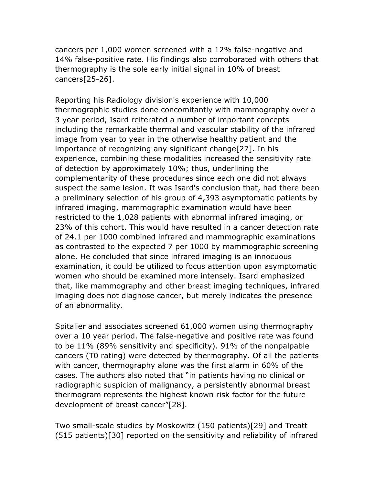cancers per 1,000 women screened with a 12% false-negative and 14% false-positive rate. His findings also corroborated with others that thermography is the sole early initial signal in 10% of breast cancers[25-26].

Reporting his Radiology division's experience with 10,000 thermographic studies done concomitantly with mammography over a 3 year period, Isard reiterated a number of important concepts including the remarkable thermal and vascular stability of the infrared image from year to year in the otherwise healthy patient and the importance of recognizing any significant change[27]. In his experience, combining these modalities increased the sensitivity rate of detection by approximately 10%; thus, underlining the complementarity of these procedures since each one did not always suspect the same lesion. It was Isard's conclusion that, had there been a preliminary selection of his group of 4,393 asymptomatic patients by infrared imaging, mammographic examination would have been restricted to the 1,028 patients with abnormal infrared imaging, or 23% of this cohort. This would have resulted in a cancer detection rate of 24.1 per 1000 combined infrared and mammographic examinations as contrasted to the expected 7 per 1000 by mammographic screening alone. He concluded that since infrared imaging is an innocuous examination, it could be utilized to focus attention upon asymptomatic women who should be examined more intensely. Isard emphasized that, like mammography and other breast imaging techniques, infrared imaging does not diagnose cancer, but merely indicates the presence of an abnormality.

Spitalier and associates screened 61,000 women using thermography over a 10 year period. The false-negative and positive rate was found to be 11% (89% sensitivity and specificity). 91% of the nonpalpable cancers (T0 rating) were detected by thermography. Of all the patients with cancer, thermography alone was the first alarm in 60% of the cases. The authors also noted that "in patients having no clinical or radiographic suspicion of malignancy, a persistently abnormal breast thermogram represents the highest known risk factor for the future development of breast cancer"[28].

Two small-scale studies by Moskowitz (150 patients)[29] and Treatt (515 patients)[30] reported on the sensitivity and reliability of infrared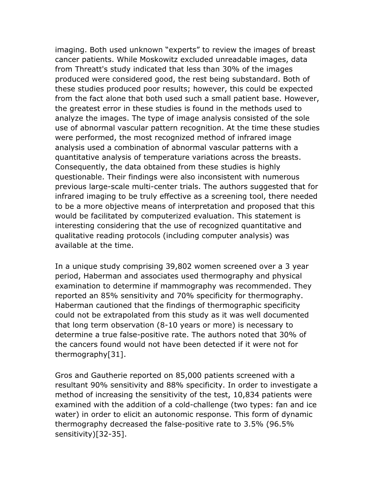imaging. Both used unknown "experts" to review the images of breast cancer patients. While Moskowitz excluded unreadable images, data from Threatt's study indicated that less than 30% of the images produced were considered good, the rest being substandard. Both of these studies produced poor results; however, this could be expected from the fact alone that both used such a small patient base. However, the greatest error in these studies is found in the methods used to analyze the images. The type of image analysis consisted of the sole use of abnormal vascular pattern recognition. At the time these studies were performed, the most recognized method of infrared image analysis used a combination of abnormal vascular patterns with a quantitative analysis of temperature variations across the breasts. Consequently, the data obtained from these studies is highly questionable. Their findings were also inconsistent with numerous previous large-scale multi-center trials. The authors suggested that for infrared imaging to be truly effective as a screening tool, there needed to be a more objective means of interpretation and proposed that this would be facilitated by computerized evaluation. This statement is interesting considering that the use of recognized quantitative and qualitative reading protocols (including computer analysis) was available at the time.

In a unique study comprising 39,802 women screened over a 3 year period, Haberman and associates used thermography and physical examination to determine if mammography was recommended. They reported an 85% sensitivity and 70% specificity for thermography. Haberman cautioned that the findings of thermographic specificity could not be extrapolated from this study as it was well documented that long term observation (8-10 years or more) is necessary to determine a true false-positive rate. The authors noted that 30% of the cancers found would not have been detected if it were not for thermography[31].

Gros and Gautherie reported on 85,000 patients screened with a resultant 90% sensitivity and 88% specificity. In order to investigate a method of increasing the sensitivity of the test, 10,834 patients were examined with the addition of a cold-challenge (two types: fan and ice water) in order to elicit an autonomic response. This form of dynamic thermography decreased the false-positive rate to 3.5% (96.5% sensitivity)[32-35].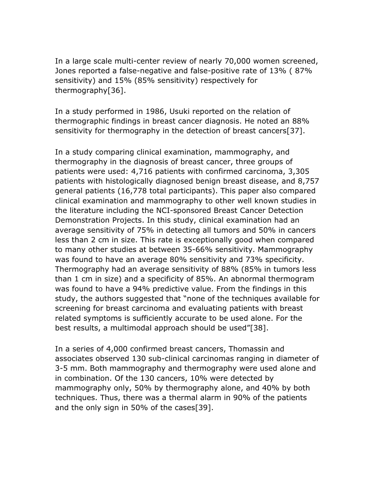In a large scale multi-center review of nearly 70,000 women screened, Jones reported a false-negative and false-positive rate of 13% ( 87% sensitivity) and 15% (85% sensitivity) respectively for thermography[36].

In a study performed in 1986, Usuki reported on the relation of thermographic findings in breast cancer diagnosis. He noted an 88% sensitivity for thermography in the detection of breast cancers[37].

In a study comparing clinical examination, mammography, and thermography in the diagnosis of breast cancer, three groups of patients were used: 4,716 patients with confirmed carcinoma, 3,305 patients with histologically diagnosed benign breast disease, and 8,757 general patients (16,778 total participants). This paper also compared clinical examination and mammography to other well known studies in the literature including the NCI-sponsored Breast Cancer Detection Demonstration Projects. In this study, clinical examination had an average sensitivity of 75% in detecting all tumors and 50% in cancers less than 2 cm in size. This rate is exceptionally good when compared to many other studies at between 35-66% sensitivity. Mammography was found to have an average 80% sensitivity and 73% specificity. Thermography had an average sensitivity of 88% (85% in tumors less than 1 cm in size) and a specificity of 85%. An abnormal thermogram was found to have a 94% predictive value. From the findings in this study, the authors suggested that "none of the techniques available for screening for breast carcinoma and evaluating patients with breast related symptoms is sufficiently accurate to be used alone. For the best results, a multimodal approach should be used"[38].

In a series of 4,000 confirmed breast cancers, Thomassin and associates observed 130 sub-clinical carcinomas ranging in diameter of 3-5 mm. Both mammography and thermography were used alone and in combination. Of the 130 cancers, 10% were detected by mammography only, 50% by thermography alone, and 40% by both techniques. Thus, there was a thermal alarm in 90% of the patients and the only sign in 50% of the cases[39].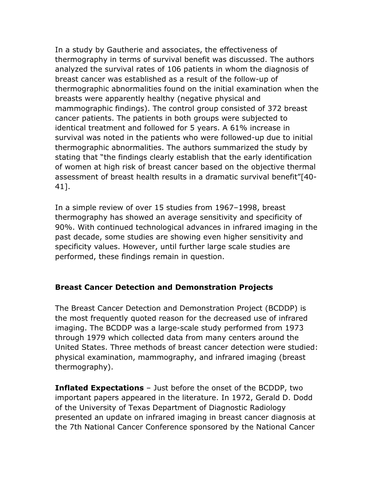In a study by Gautherie and associates, the effectiveness of thermography in terms of survival benefit was discussed. The authors analyzed the survival rates of 106 patients in whom the diagnosis of breast cancer was established as a result of the follow-up of thermographic abnormalities found on the initial examination when the breasts were apparently healthy (negative physical and mammographic findings). The control group consisted of 372 breast cancer patients. The patients in both groups were subjected to identical treatment and followed for 5 years. A 61% increase in survival was noted in the patients who were followed-up due to initial thermographic abnormalities. The authors summarized the study by stating that "the findings clearly establish that the early identification of women at high risk of breast cancer based on the objective thermal assessment of breast health results in a dramatic survival benefit"[40- 41].

In a simple review of over 15 studies from 1967–1998, breast thermography has showed an average sensitivity and specificity of 90%. With continued technological advances in infrared imaging in the past decade, some studies are showing even higher sensitivity and specificity values. However, until further large scale studies are performed, these findings remain in question.

#### **Breast Cancer Detection and Demonstration Projects**

The Breast Cancer Detection and Demonstration Project (BCDDP) is the most frequently quoted reason for the decreased use of infrared imaging. The BCDDP was a large-scale study performed from 1973 through 1979 which collected data from many centers around the United States. Three methods of breast cancer detection were studied: physical examination, mammography, and infrared imaging (breast thermography).

**Inflated Expectations** – Just before the onset of the BCDDP, two important papers appeared in the literature. In 1972, Gerald D. Dodd of the University of Texas Department of Diagnostic Radiology presented an update on infrared imaging in breast cancer diagnosis at the 7th National Cancer Conference sponsored by the National Cancer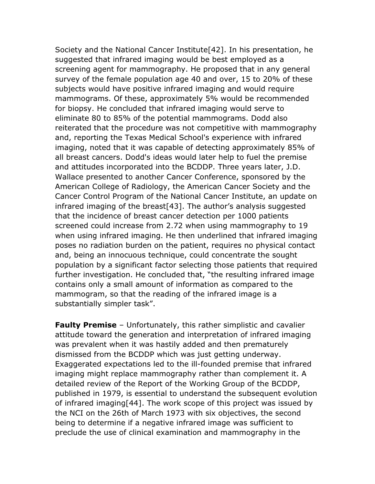Society and the National Cancer Institute[42]. In his presentation, he suggested that infrared imaging would be best employed as a screening agent for mammography. He proposed that in any general survey of the female population age 40 and over, 15 to 20% of these subjects would have positive infrared imaging and would require mammograms. Of these, approximately 5% would be recommended for biopsy. He concluded that infrared imaging would serve to eliminate 80 to 85% of the potential mammograms. Dodd also reiterated that the procedure was not competitive with mammography and, reporting the Texas Medical School's experience with infrared imaging, noted that it was capable of detecting approximately 85% of all breast cancers. Dodd's ideas would later help to fuel the premise and attitudes incorporated into the BCDDP. Three years later, J.D. Wallace presented to another Cancer Conference, sponsored by the American College of Radiology, the American Cancer Society and the Cancer Control Program of the National Cancer Institute, an update on infrared imaging of the breast[43]. The author's analysis suggested that the incidence of breast cancer detection per 1000 patients screened could increase from 2.72 when using mammography to 19 when using infrared imaging. He then underlined that infrared imaging poses no radiation burden on the patient, requires no physical contact and, being an innocuous technique, could concentrate the sought population by a significant factor selecting those patients that required further investigation. He concluded that, "the resulting infrared image contains only a small amount of information as compared to the mammogram, so that the reading of the infrared image is a substantially simpler task".

**Faulty Premise** – Unfortunately, this rather simplistic and cavalier attitude toward the generation and interpretation of infrared imaging was prevalent when it was hastily added and then prematurely dismissed from the BCDDP which was just getting underway. Exaggerated expectations led to the ill-founded premise that infrared imaging might replace mammography rather than complement it. A detailed review of the Report of the Working Group of the BCDDP, published in 1979, is essential to understand the subsequent evolution of infrared imaging[44]. The work scope of this project was issued by the NCI on the 26th of March 1973 with six objectives, the second being to determine if a negative infrared image was sufficient to preclude the use of clinical examination and mammography in the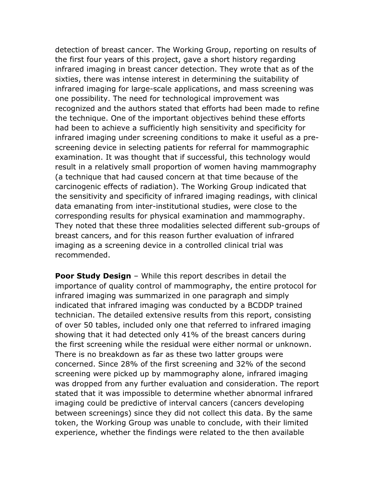detection of breast cancer. The Working Group, reporting on results of the first four years of this project, gave a short history regarding infrared imaging in breast cancer detection. They wrote that as of the sixties, there was intense interest in determining the suitability of infrared imaging for large-scale applications, and mass screening was one possibility. The need for technological improvement was recognized and the authors stated that efforts had been made to refine the technique. One of the important objectives behind these efforts had been to achieve a sufficiently high sensitivity and specificity for infrared imaging under screening conditions to make it useful as a prescreening device in selecting patients for referral for mammographic examination. It was thought that if successful, this technology would result in a relatively small proportion of women having mammography (a technique that had caused concern at that time because of the carcinogenic effects of radiation). The Working Group indicated that the sensitivity and specificity of infrared imaging readings, with clinical data emanating from inter-institutional studies, were close to the corresponding results for physical examination and mammography. They noted that these three modalities selected different sub-groups of breast cancers, and for this reason further evaluation of infrared imaging as a screening device in a controlled clinical trial was recommended.

**Poor Study Design** – While this report describes in detail the importance of quality control of mammography, the entire protocol for infrared imaging was summarized in one paragraph and simply indicated that infrared imaging was conducted by a BCDDP trained technician. The detailed extensive results from this report, consisting of over 50 tables, included only one that referred to infrared imaging showing that it had detected only 41% of the breast cancers during the first screening while the residual were either normal or unknown. There is no breakdown as far as these two latter groups were concerned. Since 28% of the first screening and 32% of the second screening were picked up by mammography alone, infrared imaging was dropped from any further evaluation and consideration. The report stated that it was impossible to determine whether abnormal infrared imaging could be predictive of interval cancers (cancers developing between screenings) since they did not collect this data. By the same token, the Working Group was unable to conclude, with their limited experience, whether the findings were related to the then available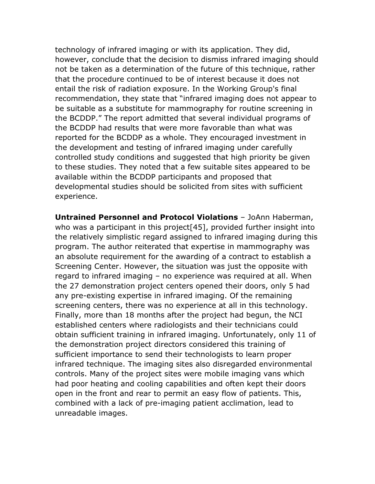technology of infrared imaging or with its application. They did, however, conclude that the decision to dismiss infrared imaging should not be taken as a determination of the future of this technique, rather that the procedure continued to be of interest because it does not entail the risk of radiation exposure. In the Working Group's final recommendation, they state that "infrared imaging does not appear to be suitable as a substitute for mammography for routine screening in the BCDDP." The report admitted that several individual programs of the BCDDP had results that were more favorable than what was reported for the BCDDP as a whole. They encouraged investment in the development and testing of infrared imaging under carefully controlled study conditions and suggested that high priority be given to these studies. They noted that a few suitable sites appeared to be available within the BCDDP participants and proposed that developmental studies should be solicited from sites with sufficient experience.

**Untrained Personnel and Protocol Violations** – JoAnn Haberman, who was a participant in this project[45], provided further insight into the relatively simplistic regard assigned to infrared imaging during this program. The author reiterated that expertise in mammography was an absolute requirement for the awarding of a contract to establish a Screening Center. However, the situation was just the opposite with regard to infrared imaging – no experience was required at all. When the 27 demonstration project centers opened their doors, only 5 had any pre-existing expertise in infrared imaging. Of the remaining screening centers, there was no experience at all in this technology. Finally, more than 18 months after the project had begun, the NCI established centers where radiologists and their technicians could obtain sufficient training in infrared imaging. Unfortunately, only 11 of the demonstration project directors considered this training of sufficient importance to send their technologists to learn proper infrared technique. The imaging sites also disregarded environmental controls. Many of the project sites were mobile imaging vans which had poor heating and cooling capabilities and often kept their doors open in the front and rear to permit an easy flow of patients. This, combined with a lack of pre-imaging patient acclimation, lead to unreadable images.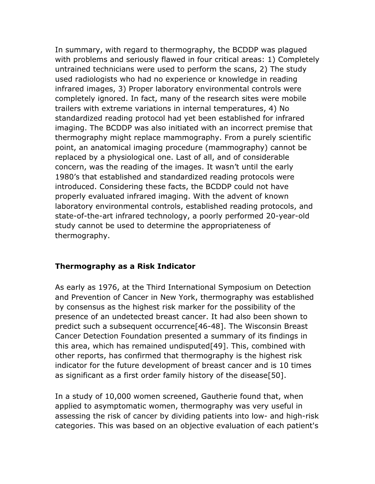In summary, with regard to thermography, the BCDDP was plagued with problems and seriously flawed in four critical areas: 1) Completely untrained technicians were used to perform the scans, 2) The study used radiologists who had no experience or knowledge in reading infrared images, 3) Proper laboratory environmental controls were completely ignored. In fact, many of the research sites were mobile trailers with extreme variations in internal temperatures, 4) No standardized reading protocol had yet been established for infrared imaging. The BCDDP was also initiated with an incorrect premise that thermography might replace mammography. From a purely scientific point, an anatomical imaging procedure (mammography) cannot be replaced by a physiological one. Last of all, and of considerable concern, was the reading of the images. It wasn't until the early 1980's that established and standardized reading protocols were introduced. Considering these facts, the BCDDP could not have properly evaluated infrared imaging. With the advent of known laboratory environmental controls, established reading protocols, and state-of-the-art infrared technology, a poorly performed 20-year-old study cannot be used to determine the appropriateness of thermography.

#### **Thermography as a Risk Indicator**

As early as 1976, at the Third International Symposium on Detection and Prevention of Cancer in New York, thermography was established by consensus as the highest risk marker for the possibility of the presence of an undetected breast cancer. It had also been shown to predict such a subsequent occurrence[46-48]. The Wisconsin Breast Cancer Detection Foundation presented a summary of its findings in this area, which has remained undisputed[49]. This, combined with other reports, has confirmed that thermography is the highest risk indicator for the future development of breast cancer and is 10 times as significant as a first order family history of the disease[50].

In a study of 10,000 women screened, Gautherie found that, when applied to asymptomatic women, thermography was very useful in assessing the risk of cancer by dividing patients into low- and high-risk categories. This was based on an objective evaluation of each patient's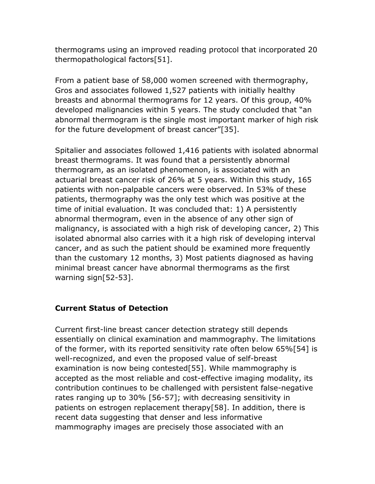thermograms using an improved reading protocol that incorporated 20 thermopathological factors[51].

From a patient base of 58,000 women screened with thermography, Gros and associates followed 1,527 patients with initially healthy breasts and abnormal thermograms for 12 years. Of this group, 40% developed malignancies within 5 years. The study concluded that "an abnormal thermogram is the single most important marker of high risk for the future development of breast cancer"[35].

Spitalier and associates followed 1,416 patients with isolated abnormal breast thermograms. It was found that a persistently abnormal thermogram, as an isolated phenomenon, is associated with an actuarial breast cancer risk of 26% at 5 years. Within this study, 165 patients with non-palpable cancers were observed. In 53% of these patients, thermography was the only test which was positive at the time of initial evaluation. It was concluded that: 1) A persistently abnormal thermogram, even in the absence of any other sign of malignancy, is associated with a high risk of developing cancer, 2) This isolated abnormal also carries with it a high risk of developing interval cancer, and as such the patient should be examined more frequently than the customary 12 months, 3) Most patients diagnosed as having minimal breast cancer have abnormal thermograms as the first warning sign[52-53].

#### **Current Status of Detection**

Current first-line breast cancer detection strategy still depends essentially on clinical examination and mammography. The limitations of the former, with its reported sensitivity rate often below 65%[54] is well-recognized, and even the proposed value of self-breast examination is now being contested[55]. While mammography is accepted as the most reliable and cost-effective imaging modality, its contribution continues to be challenged with persistent false-negative rates ranging up to 30% [56-57]; with decreasing sensitivity in patients on estrogen replacement therapy[58]. In addition, there is recent data suggesting that denser and less informative mammography images are precisely those associated with an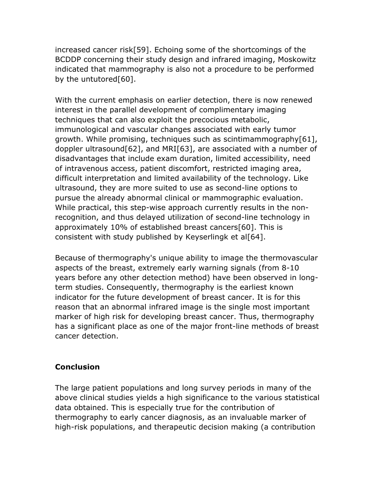increased cancer risk[59]. Echoing some of the shortcomings of the BCDDP concerning their study design and infrared imaging, Moskowitz indicated that mammography is also not a procedure to be performed by the untutored[60].

With the current emphasis on earlier detection, there is now renewed interest in the parallel development of complimentary imaging techniques that can also exploit the precocious metabolic, immunological and vascular changes associated with early tumor growth. While promising, techniques such as scintimammography[61], doppler ultrasound[62], and MRI[63], are associated with a number of disadvantages that include exam duration, limited accessibility, need of intravenous access, patient discomfort, restricted imaging area, difficult interpretation and limited availability of the technology. Like ultrasound, they are more suited to use as second-line options to pursue the already abnormal clinical or mammographic evaluation. While practical, this step-wise approach currently results in the nonrecognition, and thus delayed utilization of second-line technology in approximately 10% of established breast cancers[60]. This is consistent with study published by Keyserlingk et al<sup>[64]</sup>.

Because of thermography's unique ability to image the thermovascular aspects of the breast, extremely early warning signals (from 8-10 years before any other detection method) have been observed in longterm studies. Consequently, thermography is the earliest known indicator for the future development of breast cancer. It is for this reason that an abnormal infrared image is the single most important marker of high risk for developing breast cancer. Thus, thermography has a significant place as one of the major front-line methods of breast cancer detection.

#### **Conclusion**

The large patient populations and long survey periods in many of the above clinical studies yields a high significance to the various statistical data obtained. This is especially true for the contribution of thermography to early cancer diagnosis, as an invaluable marker of high-risk populations, and therapeutic decision making (a contribution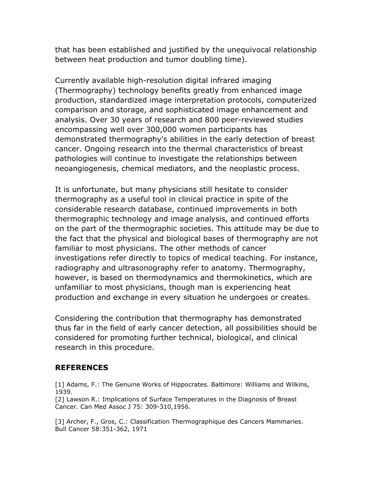that has been established and justified by the unequivocal relationship between heat production and tumor doubling time).

Currently available high-resolution digital infrared imaging (Thermography) technology benefits greatly from enhanced image production, standardized image interpretation protocols, computerized comparison and storage, and sophisticated image enhancement and analysis. Over 30 years of research and 800 peer-reviewed studies encompassing well over 300,000 women participants has demonstrated thermography's abilities in the early detection of breast cancer. Ongoing research into the thermal characteristics of breast pathologies will continue to investigate the relationships between neoangiogenesis, chemical mediators, and the neoplastic process.

It is unfortunate, but many physicians still hesitate to consider thermography as a useful tool in clinical practice in spite of the considerable research database, continued improvements in both thermographic technology and image analysis, and continued efforts on the part of the thermographic societies. This attitude may be due to the fact that the physical and biological bases of thermography are not familiar to most physicians. The other methods of cancer investigations refer directly to topics of medical teaching. For instance, radiography and ultrasonography refer to anatomy. Thermography, however, is based on thermodynamics and thermokinetics, which are unfamiliar to most physicians, though man is experiencing heat production and exchange in every situation he undergoes or creates.

Considering the contribution that thermography has demonstrated thus far in the field of early cancer detection, all possibilities should be considered for promoting further technical, biological, and clinical research in this procedure.

#### **REFERENCES**

[1] Adams, F.: The Genuine Works of Hippocrates. Baltimore: Williams and Wilkins, 1939.

[2] Lawson R.: Implications of Surface Temperatures in the Diagnosis of Breast Cancer. Can Med Assoc J 75: 309-310,1956.

[3] Archer, F., Gros, C.: Classification Thermographique des Cancers Mammaries. Bull Cancer 58:351-362, 1971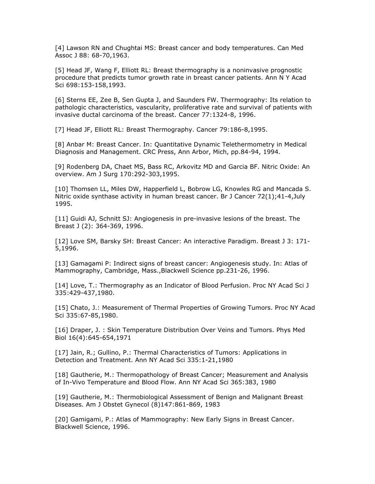[4] Lawson RN and Chughtai MS: Breast cancer and body temperatures. Can Med Assoc J 88: 68-70,1963.

[5] Head JF, Wang F, Elliott RL: Breast thermography is a noninvasive prognostic procedure that predicts tumor growth rate in breast cancer patients. Ann N Y Acad Sci 698:153-158,1993.

[6] Sterns EE, Zee B, Sen Gupta J, and Saunders FW. Thermography: Its relation to pathologic characteristics, vascularity, proliferative rate and survival of patients with invasive ductal carcinoma of the breast. Cancer 77:1324-8, 1996.

[7] Head JF, Elliott RL: Breast Thermography. Cancer 79:186-8,1995.

[8] Anbar M: Breast Cancer. In: Quantitative Dynamic Telethermometry in Medical Diagnosis and Management. CRC Press, Ann Arbor, Mich, pp.84-94, 1994.

[9] Rodenberg DA, Chaet MS, Bass RC, Arkovitz MD and Garcia BF. Nitric Oxide: An overview. Am J Surg 170:292-303,1995.

[10] Thomsen LL, Miles DW, Happerfield L, Bobrow LG, Knowles RG and Mancada S. Nitric oxide synthase activity in human breast cancer. Br J Cancer 72(1);41-4,July 1995.

[11] Guidi AJ, Schnitt SJ: Angiogenesis in pre-invasive lesions of the breast. The Breast J (2): 364-369, 1996.

[12] Love SM, Barsky SH: Breast Cancer: An interactive Paradigm. Breast J 3: 171- 5,1996.

[13] Gamagami P: Indirect signs of breast cancer: Angiogenesis study. In: Atlas of Mammography, Cambridge, Mass.,Blackwell Science pp.231-26, 1996.

[14] Love, T.: Thermography as an Indicator of Blood Perfusion. Proc NY Acad Sci J 335:429-437,1980.

[15] Chato, J.: Measurement of Thermal Properties of Growing Tumors. Proc NY Acad Sci 335:67-85,1980.

[16] Draper, J. : Skin Temperature Distribution Over Veins and Tumors. Phys Med Biol 16(4):645-654,1971

[17] Jain, R.; Gullino, P.: Thermal Characteristics of Tumors: Applications in Detection and Treatment. Ann NY Acad Sci 335:1-21,1980

[18] Gautherie, M.: Thermopathology of Breast Cancer; Measurement and Analysis of In-Vivo Temperature and Blood Flow. Ann NY Acad Sci 365:383, 1980

[19] Gautherie, M.: Thermobiological Assessment of Benign and Malignant Breast Diseases. Am J Obstet Gynecol (8)147:861-869, 1983

[20] Gamigami, P.: Atlas of Mammography: New Early Signs in Breast Cancer. Blackwell Science, 1996.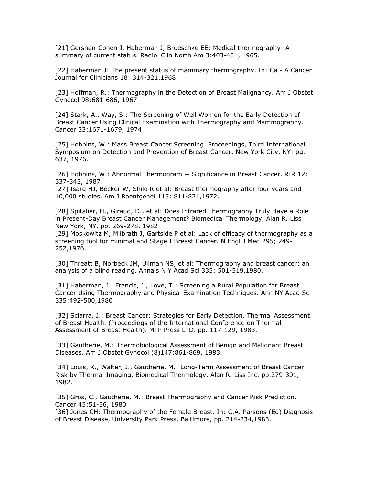[21] Gershen-Cohen J, Haberman J, Brueschke EE: Medical thermography: A summary of current status. Radiol Clin North Am 3:403-431, 1965.

[22] Haberman J: The present status of mammary thermography. In: Ca - A Cancer Journal for Clinicians 18: 314-321,1968.

[23] Hoffman, R.: Thermography in the Detection of Breast Malignancy. Am J Obstet Gynecol 98:681-686, 1967

[24] Stark, A., Way, S.: The Screening of Well Women for the Early Detection of Breast Cancer Using Clinical Examination with Thermography and Mammography. Cancer 33:1671-1679, 1974

[25] Hobbins, W.: Mass Breast Cancer Screening. Proceedings, Third International Symposium on Detection and Prevention of Breast Cancer, New York City, NY: pg. 637, 1976.

[26] Hobbins, W.: Abnormal Thermogram -- Significance in Breast Cancer. RIR 12: 337-343, 1987

[27] Isard HJ, Becker W, Shilo R et al: Breast thermography after four years and 10,000 studies. Am J Roentgenol 115: 811-821,1972.

[28] Spitalier, H., Giraud, D., et al: Does Infrared Thermography Truly Have a Role in Present-Day Breast Cancer Management? Biomedical Thermology, Alan R. Liss New York, NY. pp. 269-278, 1982

[29] Moskowitz M, Milbrath J, Gartside P et al: Lack of efficacy of thermography as a screening tool for minimal and Stage I Breast Cancer. N Engl J Med 295; 249- 252,1976.

[30] Threatt B, Norbeck JM, Ullman NS, et al: Thermography and breast cancer: an analysis of a blind reading. Annals N Y Acad Sci 335: 501-519,1980.

[31] Haberman, J., Francis, J., Love, T.: Screening a Rural Population for Breast Cancer Using Thermography and Physical Examination Techniques. Ann NY Acad Sci 335:492-500,1980

[32] Sciarra, J.: Breast Cancer: Strategies for Early Detection. Thermal Assessment of Breast Health. (Proceedings of the International Conference on Thermal Assessment of Breast Health). MTP Press LTD. pp. 117-129, 1983.

[33] Gautherie, M.: Thermobiological Assessment of Benign and Malignant Breast Diseases. Am J Obstet Gynecol (8)147:861-869, 1983.

[34] Louis, K., Walter, J., Gautherie, M.: Long-Term Assessment of Breast Cancer Risk by Thermal Imaging. Biomedical Thermology. Alan R. Liss Inc. pp.279-301, 1982.

[35] Gros, C., Gautherie, M.: Breast Thermography and Cancer Risk Prediction. Cancer 45:51-56, 1980

[36] Jones CH: Thermography of the Female Breast. In: C.A. Parsons (Ed) Diagnosis of Breast Disease, University Park Press, Baltimore, pp. 214-234,1983.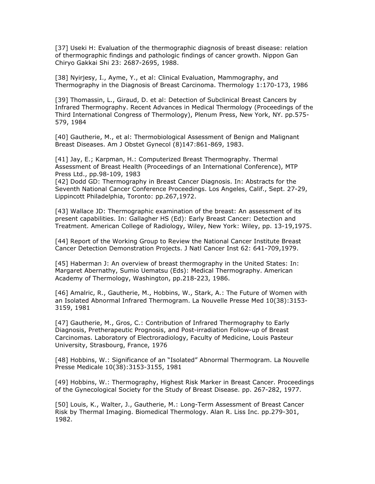[37] Useki H: Evaluation of the thermographic diagnosis of breast disease: relation of thermographic findings and pathologic findings of cancer growth. Nippon Gan Chiryo Gakkai Shi 23: 2687-2695, 1988.

[38] Nyirjesy, I., Ayme, Y., et al: Clinical Evaluation, Mammography, and Thermography in the Diagnosis of Breast Carcinoma. Thermology 1:170-173, 1986

[39] Thomassin, L., Giraud, D. et al: Detection of Subclinical Breast Cancers by Infrared Thermography. Recent Advances in Medical Thermology (Proceedings of the Third International Congress of Thermology), Plenum Press, New York, NY. pp.575- 579, 1984

[40] Gautherie, M., et al: Thermobiological Assessment of Benign and Malignant Breast Diseases. Am J Obstet Gynecol (8)147:861-869, 1983.

[41] Jay, E.; Karpman, H.: Computerized Breast Thermography. Thermal Assessment of Breast Health (Proceedings of an International Conference), MTP Press Ltd., pp.98-109, 1983

[42] Dodd GD: Thermography in Breast Cancer Diagnosis. In: Abstracts for the Seventh National Cancer Conference Proceedings. Los Angeles, Calif., Sept. 27-29, Lippincott Philadelphia, Toronto: pp.267,1972.

[43] Wallace JD: Thermographic examination of the breast: An assessment of its present capabilities. In: Gallagher HS (Ed): Early Breast Cancer: Detection and Treatment. American College of Radiology, Wiley, New York: Wiley, pp. 13-19,1975.

[44] Report of the Working Group to Review the National Cancer Institute Breast Cancer Detection Demonstration Projects. J Natl Cancer Inst 62: 641-709,1979.

[45] Haberman J: An overview of breast thermography in the United States: In: Margaret Abernathy, Sumio Uematsu (Eds): Medical Thermography. American Academy of Thermology, Washington, pp.218-223, 1986.

[46] Amalric, R., Gautherie, M., Hobbins, W., Stark, A.: The Future of Women with an Isolated Abnormal Infrared Thermogram. La Nouvelle Presse Med 10(38):3153- 3159, 1981

[47] Gautherie, M., Gros, C.: Contribution of Infrared Thermography to Early Diagnosis, Pretherapeutic Prognosis, and Post-irradiation Follow-up of Breast Carcinomas. Laboratory of Electroradiology, Faculty of Medicine, Louis Pasteur University, Strasbourg, France, 1976

[48] Hobbins, W.: Significance of an "Isolated" Abnormal Thermogram. La Nouvelle Presse Medicale 10(38):3153-3155, 1981

[49] Hobbins, W.: Thermography, Highest Risk Marker in Breast Cancer. Proceedings of the Gynecological Society for the Study of Breast Disease. pp. 267-282, 1977.

[50] Louis, K., Walter, J., Gautherie, M.: Long-Term Assessment of Breast Cancer Risk by Thermal Imaging. Biomedical Thermology. Alan R. Liss Inc. pp.279-301, 1982.